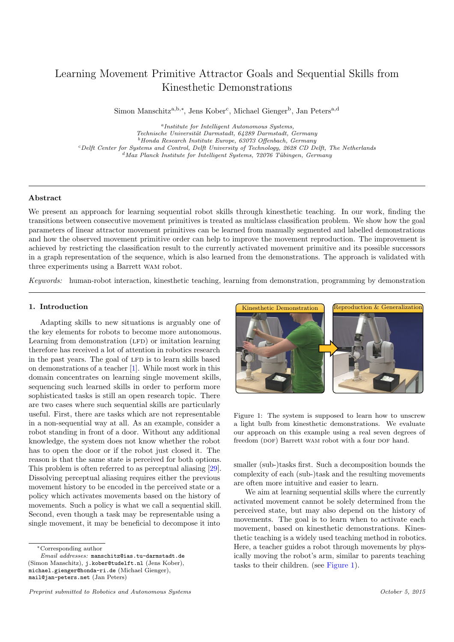# Learning Movement Primitive Attractor Goals and Sequential Skills from Kinesthetic Demonstrations

Simon Manschitz<sup>a,b,∗</sup>, Jens Kober<sup>c</sup>, Michael Gienger<sup>b</sup>, Jan Peters<sup>a,d</sup>

a Institute for Intelligent Autonomous Systems, Technische Universität Darmstadt, 64289 Darmstadt, Germany  $^{b}$ Honda Research Institute Europe, 63073 Offenbach, Germany <sup>c</sup>Delft Center for Systems and Control, Delft University of Technology, 2628 CD Delft, The Netherlands  $d$ Max Planck Institute for Intelligent Systems, 72076 Tübingen, Germany

# Abstract

We present an approach for learning sequential robot skills through kinesthetic teaching. In our work, finding the transitions between consecutive movement primitives is treated as multiclass classification problem. We show how the goal parameters of linear attractor movement primitives can be learned from manually segmented and labelled demonstrations and how the observed movement primitive order can help to improve the movement reproduction. The improvement is achieved by restricting the classification result to the currently activated movement primitive and its possible successors in a graph representation of the sequence, which is also learned from the demonstrations. The approach is validated with three experiments using a Barrett wam robot.

*Keywords:* human-robot interaction, kinesthetic teaching, learning from demonstration, programming by demonstration

# 1. Introduction

Adapting skills to new situations is arguably one of the key elements for robots to become more autonomous. Learning from demonstration (LFD) or imitation learning therefore has received a lot of attention in robotics research in the past years. The goal of LFD is to learn skills based on demonstrations of a teacher [\[1\]](#page-12-0). While most work in this domain concentrates on learning single movement skills, sequencing such learned skills in order to perform more sophisticated tasks is still an open research topic. There are two cases where such sequential skills are particularly useful. First, there are tasks which are not representable in a non-sequential way at all. As an example, consider a robot standing in front of a door. Without any additional knowledge, the system does not know whether the robot has to open the door or if the robot just closed it. The reason is that the same state is perceived for both options. This problem is often referred to as perceptual aliasing [\[29\]](#page-13-0). Dissolving perceptual aliasing requires either the previous movement history to be encoded in the perceived state or a policy which activates movements based on the history of movements. Such a policy is what we call a sequential skill. Second, even though a task may be representable using a single movement, it may be beneficial to decompose it into

<span id="page-0-0"></span>

Figure 1: The system is supposed to learn how to unscrew a light bulb from kinesthetic demonstrations. We evaluate our approach on this example using a real seven degrees of freedom (DOF) Barrett wam robot with a four DOF hand.

smaller (sub-)tasks first. Such a decomposition bounds the complexity of each (sub-)task and the resulting movements are often more intuitive and easier to learn.

We aim at learning sequential skills where the currently activated movement cannot be solely determined from the perceived state, but may also depend on the history of movements. The goal is to learn when to activate each movement, based on kinesthetic demonstrations. Kinesthetic teaching is a widely used teaching method in robotics. Here, a teacher guides a robot through movements by physically moving the robot's arm, similar to parents teaching tasks to their children. (see [Figure 1\)](#page-0-0).

<sup>∗</sup>Corresponding author

Email addresses: manschitz@ias.tu-darmstadt.de (Simon Manschitz), j.kober@tudelft.nl (Jens Kober), michael.gienger@honda-ri.de (Michael Gienger), mail@jan-peters.net (Jan Peters)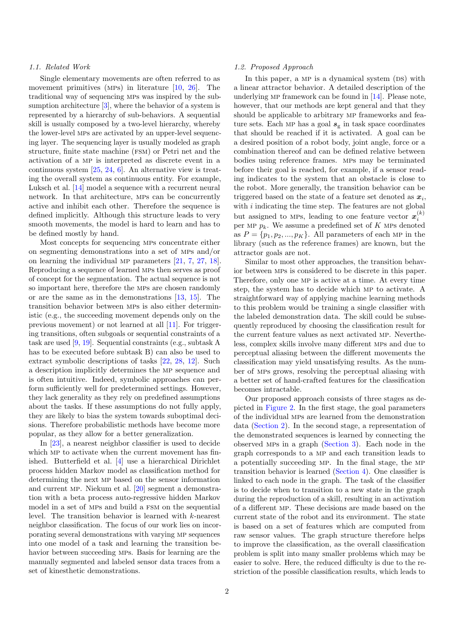# *1.1. Related Work*

Single elementary movements are often referred to as movement primitives (mps) in literature [\[10,](#page-12-1) [26\]](#page-13-1). The traditional way of sequencing mps was inspired by the subsumption architecture [\[3\]](#page-12-2), where the behavior of a system is represented by a hierarchy of sub-behaviors. A sequential skill is usually composed by a two-level hierarchy, whereby the lower-level mps are activated by an upper-level sequencing layer. The sequencing layer is usually modeled as graph structure, finite state machine (fsm) or Petri net and the activation of a mp is interpreted as discrete event in a continuous system [\[25,](#page-13-2) [24,](#page-13-3) [6\]](#page-12-3). An alternative view is treating the overall system as continuous entity. For example, Luksch et al. [\[14\]](#page-12-4) model a sequence with a recurrent neural network. In that architecture, mps can be concurrently active and inhibit each other. Therefore the sequence is defined implicitly. Although this structure leads to very smooth movements, the model is hard to learn and has to be defined mostly by hand.

Most concepts for sequencing mps concentrate either on segmenting demonstrations into a set of mps and/or on learning the individual mp parameters [\[21,](#page-12-5) [7,](#page-12-6) [27,](#page-13-4) [18\]](#page-12-7). Reproducing a sequence of learned mps then serves as proof of concept for the segmentation. The actual sequence is not so important here, therefore the mps are chosen randomly or are the same as in the demonstrations [\[13,](#page-12-8) [15\]](#page-12-9). The transition behavior between mps is also either deterministic (e.g., the succeeding movement depends only on the previous movement) or not learned at all [\[11\]](#page-12-10). For triggering transitions, often subgoals or sequential constraints of a task are used [\[9,](#page-12-11) [19\]](#page-12-12). Sequential constraints (e.g., subtask A has to be executed before subtask B) can also be used to extract symbolic descriptions of tasks [\[22,](#page-12-13) [28,](#page-13-5) [12\]](#page-12-14). Such a description implicitly determines the mp sequence and is often intuitive. Indeed, symbolic approaches can perform sufficiently well for predetermined settings. However, they lack generality as they rely on predefined assumptions about the tasks. If these assumptions do not fully apply, they are likely to bias the system towards suboptimal decisions. Therefore probabilistic methods have become more popular, as they allow for a better generalization.

In [\[23\]](#page-12-15), a nearest neighbor classifier is used to decide which MP to activate when the current movement has finished. Butterfield et al. [\[4\]](#page-12-16) use a hierarchical Dirichlet process hidden Markov model as classification method for determining the next mp based on the sensor information and current mp. Niekum et al. [\[20\]](#page-12-17) segment a demonstration with a beta process auto-regressive hidden Markov model in a set of MPs and build a FSM on the sequential level. The transition behavior is learned with k-nearest neighbor classification. The focus of our work lies on incorporating several demonstrations with varying mp sequences into one model of a task and learning the transition behavior between succeeding mps. Basis for learning are the manually segmented and labeled sensor data traces from a set of kinesthetic demonstrations.

#### *1.2. Proposed Approach*

In this paper, a  $MP$  is a dynamical system  $(DS)$  with a linear attractor behavior. A detailed description of the underlying mp framework can be found in [\[14\]](#page-12-4). Please note, however, that our methods are kept general and that they should be applicable to arbitrary mp frameworks and feature sets. Each MP has a goal  $s_g$  in task space coordinates that should be reached if it is activated. A goal can be a desired position of a robot body, joint angle, force or a combination thereof and can be defined relative between bodies using reference frames. mps may be terminated before their goal is reached, for example, if a sensor reading indicates to the system that an obstacle is close to the robot. More generally, the transition behavior can be triggered based on the state of a feature set denoted as  $\boldsymbol{x}_i$ , with  $i$  indicating the time step. The features are not global but assigned to MPs, leading to one feature vector  $x_i^{(k)}$ per MP  $p_k$ . We assume a predefined set of K MPs denoted as  $P = \{p_1, p_2, ..., p_K\}$ . All parameters of each MP in the library (such as the reference frames) are known, but the attractor goals are not.

Similar to most other approaches, the transition behavior between mps is considered to be discrete in this paper. Therefore, only one mp is active at a time. At every time step, the system has to decide which mp to activate. A straightforward way of applying machine learning methods to this problem would be training a single classifier with the labeled demonstration data. The skill could be subsequently reproduced by choosing the classification result for the current feature values as next activated mp. Nevertheless, complex skills involve many different mps and due to perceptual aliasing between the different movements the classification may yield unsatisfying results. As the number of mps grows, resolving the perceptual aliasing with a better set of hand-crafted features for the classification becomes intractable.

Our proposed approach consists of three stages as depicted in [Figure 2.](#page-2-0) In the first stage, the goal parameters of the individual mps are learned from the demonstration data [\(Section 2\)](#page-2-1). In the second stage, a representation of the demonstrated sequences is learned by connecting the observed mps in a graph [\(Section 3\)](#page-4-0). Each node in the graph corresponds to a mp and each transition leads to a potentially succeeding mp. In the final stage, the mp transition behavior is learned [\(Section 4\)](#page-7-0). One classifier is linked to each node in the graph. The task of the classifier is to decide when to transition to a new state in the graph during the reproduction of a skill, resulting in an activation of a different mp. These decisions are made based on the current state of the robot and its environment. The state is based on a set of features which are computed from raw sensor values. The graph structure therefore helps to improve the classification, as the overall classification problem is split into many smaller problems which may be easier to solve. Here, the reduced difficulty is due to the restriction of the possible classification results, which leads to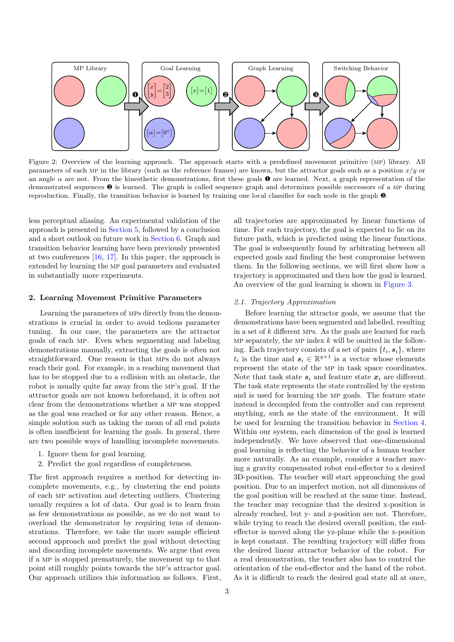<span id="page-2-0"></span>

Figure 2: Overview of the learning approach. The approach starts with a predefined movement primitive (mp) library. All parameters of each MP in the library (such as the reference frames) are known, but the attractor goals such as a position  $x/y$  or an angle  $\alpha$  are not. From the kinesthetic demonstrations, first these goals  $\bullet$  are learned. Next, a graph representation of the demonstrated sequences ❷ is learned. The graph is called sequence graph and determines possible successors of a mp during reproduction. Finally, the transition behavior is learned by training one local classifier for each node in the graph ❸.

less perceptual aliasing. An experimental validation of the approach is presented in [Section 5,](#page-7-1) followed by a conclusion and a short outlook on future work in [Section 6.](#page-12-18) Graph and transition behavior learning have been previously presented at two conferences [\[16,](#page-12-19) [17\]](#page-12-20). In this paper, the approach is extended by learning the mp goal parameters and evaluated in substantially more experiments.

# <span id="page-2-1"></span>2. Learning Movement Primitive Parameters

Learning the parameters of mps directly from the demonstrations is crucial in order to avoid tedious parameter tuning. In our case, the parameters are the attractor goals of each mp. Even when segmenting and labeling demonstrations manually, extracting the goals is often not straightforward. One reason is that mps do not always reach their goal. For example, in a reaching movement that has to be stopped due to a collision with an obstacle, the robot is usually quite far away from the mp's goal. If the attractor goals are not known beforehand, it is often not clear from the demonstrations whether a mp was stopped as the goal was reached or for any other reason. Hence, a simple solution such as taking the mean of all end points is often insufficient for learning the goals. In general, there are two possible ways of handling incomplete movements.

- 1. Ignore them for goal learning.
- 2. Predict the goal regardless of completeness.

The first approach requires a method for detecting incomplete movements, e.g., by clustering the end points of each mp activation and detecting outliers. Clustering usually requires a lot of data. Our goal is to learn from as few demonstrations as possible, as we do not want to overload the demonstrator by requiring tens of demonstrations. Therefore, we take the more sample efficient second approach and predict the goal without detecting and discarding incomplete movements. We argue that even if a mp is stopped prematurely, the movement up to that point still roughly points towards the mp's attractor goal. Our approach utilizes this information as follows. First, all trajectories are approximated by linear functions of time. For each trajectory, the goal is expected to lie on its future path, which is predicted using the linear functions. The goal is subsequently found by arbitrating between all expected goals and finding the best compromise between them. In the following sections, we will first show how a trajectory is approximated and then how the goal is learned. An overview of the goal learning is shown in [Figure 3.](#page-3-0)

# *2.1. Trajectory Approximation*

Before learning the attractor goals, we assume that the demonstrations have been segmented and labelled, resulting in a set of  $k$  different MPs. As the goals are learned for each MP separately, the MP index  $k$  will be omitted in the following. Each trajectory consists of a set of pairs  $\{t_i, s_i\}$ , where  $t_i$  is the time and  $s_i \in \mathbb{R}^{q \times 1}$  is a vector whose elements represent the state of the mp in task space coordinates. Note that task state  $s_i$  and feature state  $x_i$  are different. The task state represents the state controlled by the system and is used for learning the mp goals. The feature state instead is decoupled from the controller and can represent anything, such as the state of the environment. It will be used for learning the transition behavior in [Section 4.](#page-7-0) Within our system, each dimension of the goal is learned independently. We have observed that one-dimensional goal learning is reflecting the behavior of a human teacher more naturally. As an example, consider a teacher moving a gravity compensated robot end-effector to a desired 3D-position. The teacher will start approaching the goal position. Due to an imperfect motion, not all dimensions of the goal position will be reached at the same time. Instead, the teacher may recognize that the desired x-position is already reached, but y- and z-position are not. Therefore, while trying to reach the desired overall position, the endeffector is moved along the yz-plane while the x-position is kept constant. The resulting trajectory will differ from the desired linear attractor behavior of the robot. For a real demonstration, the teacher also has to control the orientation of the end-effector and the hand of the robot. As it is difficult to reach the desired goal state all at once,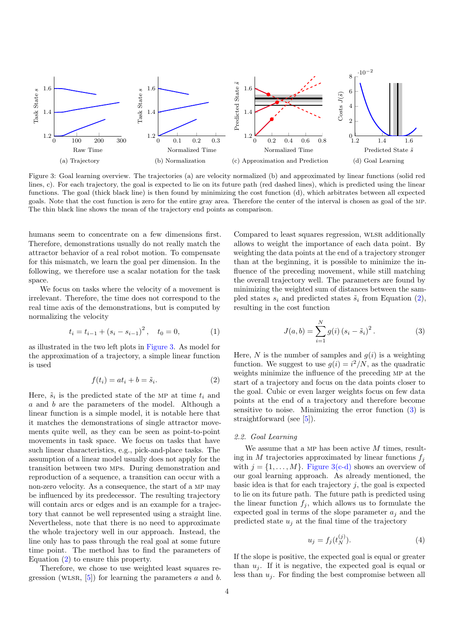<span id="page-3-0"></span>

Figure 3: Goal learning overview. The trajectories (a) are velocity normalized (b) and approximated by linear functions (solid red lines, c). For each trajectory, the goal is expected to lie on its future path (red dashed lines), which is predicted using the linear functions. The goal (thick black line) is then found by minimizing the cost function (d), which arbitrates between all expected goals. Note that the cost function is zero for the entire gray area. Therefore the center of the interval is chosen as goal of the mp. The thin black line shows the mean of the trajectory end points as comparison.

humans seem to concentrate on a few dimensions first. Therefore, demonstrations usually do not really match the attractor behavior of a real robot motion. To compensate for this mismatch, we learn the goal per dimension. In the following, we therefore use a scalar notation for the task space.

We focus on tasks where the velocity of a movement is irrelevant. Therefore, the time does not correspond to the real time axis of the demonstrations, but is computed by normalizing the velocity

$$
t_i = t_{i-1} + (s_i - s_{i-1})^2, \quad t_0 = 0,
$$
 (1)

as illustrated in the two left plots in [Figure 3.](#page-3-0) As model for the approximation of a trajectory, a simple linear function is used

$$
f(t_i) = at_i + b = \tilde{s}_i.
$$
\n<sup>(2)</sup>

Here,  $\tilde{s}_i$  is the predicted state of the MP at time  $t_i$  and a and b are the parameters of the model. Although a linear function is a simple model, it is notable here that it matches the demonstrations of single attractor movements quite well, as they can be seen as point-to-point movements in task space. We focus on tasks that have such linear characteristics, e.g., pick-and-place tasks. The assumption of a linear model usually does not apply for the transition between two mps. During demonstration and reproduction of a sequence, a transition can occur with a non-zero velocity. As a consequence, the start of a MP may be influenced by its predecessor. The resulting trajectory will contain arcs or edges and is an example for a trajectory that cannot be well represented using a straight line. Nevertheless, note that there is no need to approximate the whole trajectory well in our approach. Instead, the line only has to pass through the real goal at some future time point. The method has to find the parameters of Equation [\(2\)](#page-3-1) to ensure this property.

Therefore, we chose to use weighted least squares regression (WLSR,  $[5]$ ) for learning the parameters a and b.

Compared to least squares regression, WLSR additionally allows to weight the importance of each data point. By weighting the data points at the end of a trajectory stronger than at the beginning, it is possible to minimize the influence of the preceding movement, while still matching the overall trajectory well. The parameters are found by minimizing the weighted sum of distances between the sampled states  $s_i$  and predicted states  $\tilde{s}_i$  from Equation [\(2\)](#page-3-1), resulting in the cost function

<span id="page-3-2"></span>
$$
J(a,b) = \sum_{i=1}^{N} g(i) (s_i - \tilde{s}_i)^2.
$$
 (3)

<span id="page-3-1"></span>Here, N is the number of samples and  $q(i)$  is a weighting function. We suggest to use  $g(i) = i^2/N$ , as the quadratic weights minimize the influence of the preceding mp at the start of a trajectory and focus on the data points closer to the goal. Cubic or even larger weights focus on few data points at the end of a trajectory and therefore become sensitive to noise. Minimizing the error function [\(3\)](#page-3-2) is straightforward (see [\[5\]](#page-12-21)).

# *2.2. Goal Learning*

We assume that a MP has been active  $M$  times, resulting in M trajectories approximated by linear functions  $f_i$ with  $j = \{1, \ldots, M\}$ . [Figure 3\(c-d\)](#page-3-0) shows an overview of our goal learning approach. As already mentioned, the basic idea is that for each trajectory  $j$ , the goal is expected to lie on its future path. The future path is predicted using the linear function  $f_j$ , which allows us to formulate the expected goal in terms of the slope parameter  $a_j$  and the predicted state  $u_i$  at the final time of the trajectory

$$
u_j = f_j(t_N^{(j)}).
$$
\n<sup>(4)</sup>

If the slope is positive, the expected goal is equal or greater than  $u_i$ . If it is negative, the expected goal is equal or less than  $u_i$ . For finding the best compromise between all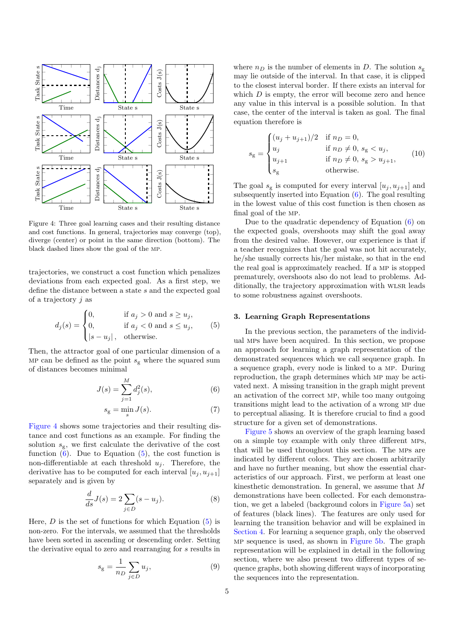<span id="page-4-1"></span>

Figure 4: Three goal learning cases and their resulting distance and cost functions. In general, trajectories may converge (top), diverge (center) or point in the same direction (bottom). The black dashed lines show the goal of the mp.

trajectories, we construct a cost function which penalizes deviations from each expected goal. As a first step, we define the distance between a state s and the expected goal of a trajectory j as

$$
d_j(s) = \begin{cases} 0, & \text{if } a_j > 0 \text{ and } s \ge u_j, \\ 0, & \text{if } a_j < 0 \text{ and } s \le u_j, \\ |s - u_j|, & \text{otherwise.} \end{cases} \tag{5}
$$

Then, the attractor goal of one particular dimension of a MP can be defined as the point  $s_g$  where the squared sum of distances becomes minimal

$$
J(s) = \sum_{j=1}^{M} d_j^2(s),
$$
 (6)

$$
s_{\rm g} = \min_{s} J(s). \tag{7}
$$

[Figure 4](#page-4-1) shows some trajectories and their resulting distance and cost functions as an example. For finding the solution  $s_{\rm g}$ , we first calculate the derivative of the cost function  $(6)$ . Due to Equation  $(5)$ , the cost function is non-differentiable at each threshold  $u_i$ . Therefore, the derivative has to be computed for each interval  $[u_i, u_{i+1}]$ separately and is given by

$$
\frac{d}{ds}J(s) = 2\sum_{j \in D}(s - u_j). \tag{8}
$$

Here,  $D$  is the set of functions for which Equation [\(5\)](#page-4-3) is non-zero. For the intervals, we assumed that the thresholds have been sorted in ascending or descending order. Setting the derivative equal to zero and rearranging for s results in

$$
s_{\mathbf{g}} = \frac{1}{n_D} \sum_{j \in D} u_j,\tag{9}
$$

where  $n_D$  is the number of elements in D. The solution  $s_g$ may lie outside of the interval. In that case, it is clipped to the closest interval border. If there exists an interval for which  $D$  is empty, the error will become zero and hence any value in this interval is a possible solution. In that case, the center of the interval is taken as goal. The final equation therefore is

$$
s_{g} = \begin{cases} (u_{j} + u_{j+1})/2 & \text{if } n_{D} = 0, \\ u_{j} & \text{if } n_{D} \neq 0, s_{g} < u_{j}, \\ u_{j+1} & \text{if } n_{D} \neq 0, s_{g} > u_{j+1}, \\ s_{g} & \text{otherwise.} \end{cases}
$$
(10)

The goal  $s_g$  is computed for every interval  $[u_j, u_{j+1}]$  and subsequently inserted into Equation [\(6\)](#page-4-2). The goal resulting in the lowest value of this cost function is then chosen as final goal of the mp.

Due to the quadratic dependency of Equation [\(6\)](#page-4-2) on the expected goals, overshoots may shift the goal away from the desired value. However, our experience is that if a teacher recognizes that the goal was not hit accurately, he/she usually corrects his/her mistake, so that in the end the real goal is approximately reached. If a mp is stopped prematurely, overshoots also do not lead to problems. Additionally, the trajectory approximation with WLSR leads to some robustness against overshoots.

# <span id="page-4-3"></span><span id="page-4-0"></span>3. Learning Graph Representations

In the previous section, the parameters of the individual mps have been acquired. In this section, we propose an approach for learning a graph representation of the demonstrated sequences which we call sequence graph. In a sequence graph, every node is linked to a mp. During reproduction, the graph determines which mp may be activated next. A missing transition in the graph might prevent an activation of the correct mp, while too many outgoing transitions might lead to the activation of a wrong mp due to perceptual aliasing. It is therefore crucial to find a good structure for a given set of demonstrations.

<span id="page-4-2"></span>[Figure 5](#page-5-0) shows an overview of the graph learning based on a simple toy example with only three different mps, that will be used throughout this section. The mps are indicated by different colors. They are chosen arbitrarily and have no further meaning, but show the essential characteristics of our approach. First, we perform at least one kinesthetic demonstration. In general, we assume that M demonstrations have been collected. For each demonstration, we get a labeled (background colors in [Figure 5a\)](#page-5-1) set of features (black lines). The features are only used for learning the transition behavior and will be explained in [Section 4.](#page-7-0) For learning a sequence graph, only the observed mp sequence is used, as shown in [Figure 5b.](#page-5-2) The graph representation will be explained in detail in the following section, where we also present two different types of sequence graphs, both showing different ways of incorporating the sequences into the representation.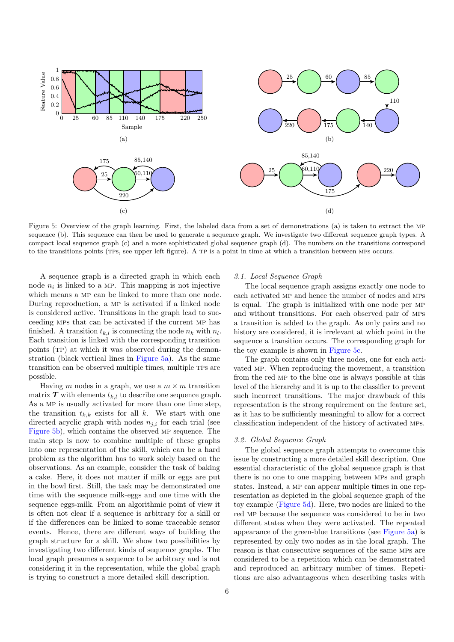<span id="page-5-1"></span><span id="page-5-0"></span>

<span id="page-5-3"></span>Figure 5: Overview of the graph learning. First, the labeled data from a set of demonstrations (a) is taken to extract the mp sequence (b). This sequence can then be used to generate a sequence graph. We investigate two different sequence graph types. A compact local sequence graph (c) and a more sophisticated global sequence graph (d). The numbers on the transitions correspond to the transitions points (tps, see upper left figure). A tp is a point in time at which a transition between mps occurs.

A sequence graph is a directed graph in which each node  $n_i$  is linked to a MP. This mapping is not injective which means a mp can be linked to more than one node. During reproduction, a mp is activated if a linked node is considered active. Transitions in the graph lead to succeeding mps that can be activated if the current mp has finished. A transition  $t_{k,l}$  is connecting the node  $n_k$  with  $n_l$ . Each transition is linked with the corresponding transition points (TP) at which it was observed during the demonstration (black vertical lines in [Figure 5a\)](#page-5-1). As the same transition can be observed multiple times, multiple TPs are possible.

Having m nodes in a graph, we use a  $m \times m$  transition matrix  $T$  with elements  $t_{k,l}$  to describe one sequence graph. As a MP is usually activated for more than one time step, the transition  $t_{k,k}$  exists for all k. We start with one directed acyclic graph with nodes  $n_{i,i}$  for each trial (see [Figure 5b\)](#page-5-0), which contains the observed mp sequence. The main step is now to combine multiple of these graphs into one representation of the skill, which can be a hard problem as the algorithm has to work solely based on the observations. As an example, consider the task of baking a cake. Here, it does not matter if milk or eggs are put in the bowl first. Still, the task may be demonstrated one time with the sequence milk-eggs and one time with the sequence eggs-milk. From an algorithmic point of view it is often not clear if a sequence is arbitrary for a skill or if the differences can be linked to some traceable sensor events. Hence, there are different ways of building the graph structure for a skill. We show two possibilities by investigating two different kinds of sequence graphs. The local graph presumes a sequence to be arbitrary and is not considering it in the representation, while the global graph is trying to construct a more detailed skill description.

#### <span id="page-5-2"></span>*3.1. Local Sequence Graph*

The local sequence graph assigns exactly one node to each activated mp and hence the number of nodes and mps is equal. The graph is initialized with one node per mp and without transitions. For each observed pair of mps a transition is added to the graph. As only pairs and no history are considered, it is irrelevant at which point in the sequence a transition occurs. The corresponding graph for the toy example is shown in [Figure 5c.](#page-5-3)

The graph contains only three nodes, one for each activated mp. When reproducing the movement, a transition from the red mp to the blue one is always possible at this level of the hierarchy and it is up to the classifier to prevent such incorrect transitions. The major drawback of this representation is the strong requirement on the feature set, as it has to be sufficiently meaningful to allow for a correct classification independent of the history of activated mps.

#### *3.2. Global Sequence Graph*

The global sequence graph attempts to overcome this issue by constructing a more detailed skill description. One essential characteristic of the global sequence graph is that there is no one to one mapping between mps and graph states. Instead, a MP can appear multiple times in one representation as depicted in the global sequence graph of the toy example [\(Figure 5d\)](#page-5-1). Here, two nodes are linked to the red mp because the sequence was considered to be in two different states when they were activated. The repeated appearance of the green-blue transitions (see [Figure 5a\)](#page-5-1) is represented by only two nodes as in the local graph. The reason is that consecutive sequences of the same mps are considered to be a repetition which can be demonstrated and reproduced an arbitrary number of times. Repetitions are also advantageous when describing tasks with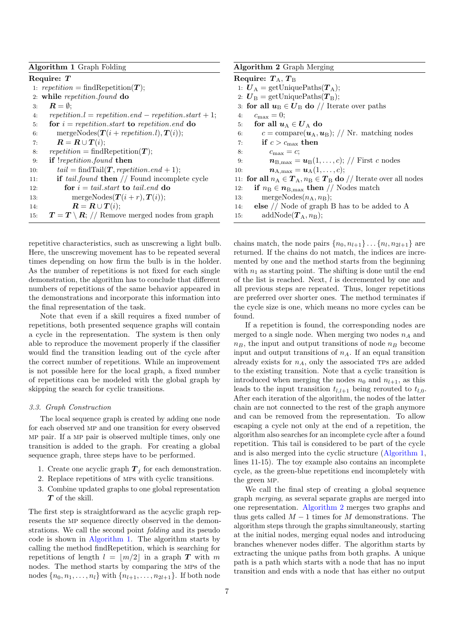<span id="page-6-0"></span>Algorithm 1 Graph Folding

Require: T 1:  $repetition = findRepetition(T);$ 2: while *repetition*.*found* do 3:  $\boldsymbol{R} = \emptyset$ : 4:  $repetition.l = repetition.end - repetition.start + 1;$ 5: for i = *repetition*.*start* to *repetition*.*end* do 6: mergeNodes $(T(i + repetition. l), T(i));$ 7:  $\boldsymbol{R} = \boldsymbol{R} \cup \boldsymbol{T}(i);$ 8:  $repetition = findRepetition(T);$ 9: if !*repetition*.*found* then 10:  $tail = \text{findTail}(T, \text{repetition}. \text{end} + 1);$ 11: if *tail*.*found* then // Found incomplete cycle 12: **for**  $i = tail.start$  **to** *tail.end* **do** 13: mergeNodes $(T(i + r), T(i))$ ; 14:  $\mathbf{R} = \mathbf{R} \cup \mathbf{T}(i);$ 15:  $\mathbf{T} = \mathbf{T} \setminus \mathbf{R}$ ; // Remove merged nodes from graph

repetitive characteristics, such as unscrewing a light bulb. Here, the unscrewing movement has to be repeated several times depending on how firm the bulb is in the holder. As the number of repetitions is not fixed for each single demonstration, the algorithm has to conclude that different numbers of repetitions of the same behavior appeared in the demonstrations and incorporate this information into the final representation of the task.

Note that even if a skill requires a fixed number of repetitions, both presented sequence graphs will contain a cycle in the representation. The system is then only able to reproduce the movement properly if the classifier would find the transition leading out of the cycle after the correct number of repetitions. While an improvement is not possible here for the local graph, a fixed number of repetitions can be modeled with the global graph by skipping the search for cyclic transitions.

#### *3.3. Graph Construction*

The local sequence graph is created by adding one node for each observed MP and one transition for every observed mp pair. If a mp pair is observed multiple times, only one transition is added to the graph. For creating a global sequence graph, three steps have to be performed.

- 1. Create one acyclic graph  $T_j$  for each demonstration.
- 2. Replace repetitions of mps with cyclic transitions.
- 3. Combine updated graphs to one global representation T of the skill.

The first step is straightforward as the acyclic graph represents the mp sequence directly observed in the demonstrations. We call the second point *folding* and its pseudo code is shown in [Algorithm 1.](#page-6-0) The algorithm starts by calling the method findRepetition, which is searching for repetitions of length  $l = |m/2|$  in a graph T with m nodes. The method starts by comparing the mps of the nodes  $\{n_0, n_1, \ldots, n_l\}$  with  $\{n_{l+1}, \ldots, n_{2l+1}\}$ . If both node

<span id="page-6-1"></span>

|     | <b>Algorithm 2</b> Graph Merging                                                    |
|-----|-------------------------------------------------------------------------------------|
|     | Require: $T_A$ , $T_B$                                                              |
|     | 1: $U_A = \text{getUniquePaths}(T_A);$                                              |
|     | 2: $\boldsymbol{U}_{\text{B}} = \text{getUniquePaths}(\boldsymbol{T}_{\text{B}});$  |
|     | 3: for all $u_{\text{B}} \in U_{\text{B}}$ do // Iterate over paths                 |
| 4:  | $c_{\rm max}=0;$                                                                    |
| 5:  | for all $u_{\text{A}} \in U_{\text{A}}$ do                                          |
| 6:  | $c = \text{compare}(\boldsymbol{u}_{A}, \boldsymbol{u}_{B});$ // Nr. matching nodes |
| 7:  | if $c > c_{\text{max}}$ then                                                        |
| 8:  | $c_{\text{max}} = c$ ;                                                              |
| 9:  | $n_{\text{B,max}} = u_{\text{B}}(1,\ldots,c);$ // First c nodes                     |
| 10: | $\mathbf{n}_{A,\text{max}} = \mathbf{u}_A(1,\ldots,c);$                             |
|     | 11: for all $n_A \in T_A$ , $n_B \in T_B$ do // Iterate over all nodes              |
| 12: | if $n_{\rm B} \in n_{\rm B, max}$ then // Nodes match                               |
| 13: | merge $\text{Nodes}(n_{\text{A}}, n_{\text{B}});$                                   |
| 14: | else // Node of graph B has to be added to A                                        |
| 15: | $addNode(T_A, n_B);$                                                                |

chains match, the node pairs  $\{n_0, n_{l+1}\}\dots\{n_l, n_{2l+1}\}\$  are returned. If the chains do not match, the indices are incremented by one and the method starts from the beginning with  $n_1$  as starting point. The shifting is done until the end of the list is reached. Next, l is decremented by one and all previous steps are repeated. Thus, longer repetitions are preferred over shorter ones. The method terminates if the cycle size is one, which means no more cycles can be found.

If a repetition is found, the corresponding nodes are merged to a single node. When merging two nodes  $n_A$  and  $n_B$ , the input and output transitions of node  $n_B$  become input and output transitions of  $n_A$ . If an equal transition already exists for  $n_A$ , only the associated TPs are added to the existing transition. Note that a cyclic transition is introduced when merging the nodes  $n_0$  and  $n_{l+1}$ , as this leads to the input transition  $t_{l,l+1}$  being rerouted to  $t_{l,0}$ . After each iteration of the algorithm, the nodes of the latter chain are not connected to the rest of the graph anymore and can be removed from the representation. To allow escaping a cycle not only at the end of a repetition, the algorithm also searches for an incomplete cycle after a found repetition. This tail is considered to be part of the cycle and is also merged into the cyclic structure [\(Algorithm 1,](#page-6-0) lines 11-15). The toy example also contains an incomplete cycle, as the green-blue repetitions end incompletely with the green mp.

We call the final step of creating a global sequence graph *merging*, as several separate graphs are merged into one representation. [Algorithm 2](#page-6-1) merges two graphs and thus gets called  $M-1$  times for M demonstrations. The algorithm steps through the graphs simultaneously, starting at the initial nodes, merging equal nodes and introducing branches whenever nodes differ. The algorithm starts by extracting the unique paths from both graphs. A unique path is a path which starts with a node that has no input transition and ends with a node that has either no output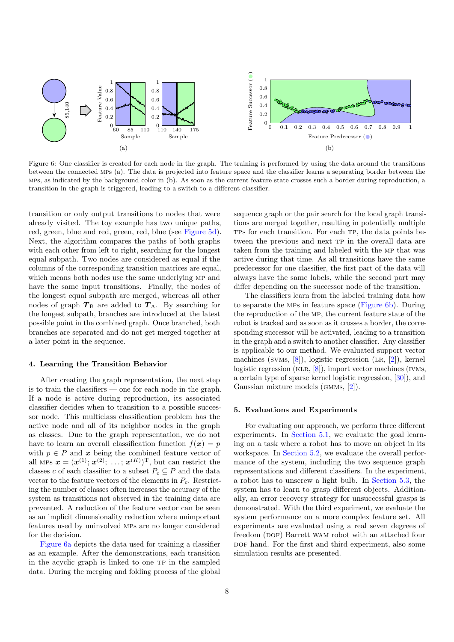<span id="page-7-2"></span>

Figure 6: One classifier is created for each node in the graph. The training is performed by using the data around the transitions between the connected mps (a). The data is projected into feature space and the classifier learns a separating border between the mps, as indicated by the background color in (b). As soon as the current feature state crosses such a border during reproduction, a transition in the graph is triggered, leading to a switch to a different classifier.

transition or only output transitions to nodes that were already visited. The toy example has two unique paths, red, green, blue and red, green, red, blue (see [Figure 5d\)](#page-5-1). Next, the algorithm compares the paths of both graphs with each other from left to right, searching for the longest equal subpath. Two nodes are considered as equal if the columns of the corresponding transition matrices are equal, which means both nodes use the same underlying MP and have the same input transitions. Finally, the nodes of the longest equal subpath are merged, whereas all other nodes of graph  $T_B$  are added to  $T_A$ . By searching for the longest subpath, branches are introduced at the latest possible point in the combined graph. Once branched, both branches are separated and do not get merged together at a later point in the sequence.

# <span id="page-7-0"></span>4. Learning the Transition Behavior

After creating the graph representation, the next step is to train the classifiers — one for each node in the graph. If a node is active during reproduction, its associated classifier decides when to transition to a possible successor node. This multiclass classification problem has the active node and all of its neighbor nodes in the graph as classes. Due to the graph representation, we do not have to learn an overall classification function  $f(x) = p$ with  $p \in P$  and x being the combined feature vector of all MPs  $\mathbf{x} = (\mathbf{x}^{(1)}; \mathbf{x}^{(2)}; \dots; \mathbf{x}^{(K)})^{\mathrm{T}}$ , but can restrict the classes c of each classifier to a subset  $P_c \subseteq P$  and the data vector to the feature vectors of the elements in  $P_c$ . Restricting the number of classes often increases the accuracy of the system as transitions not observed in the training data are prevented. A reduction of the feature vector can be seen as an implicit dimensionality reduction where unimportant features used by uninvolved mps are no longer considered for the decision.

[Figure 6a](#page-7-2) depicts the data used for training a classifier as an example. After the demonstrations, each transition in the acyclic graph is linked to one tp in the sampled data. During the merging and folding process of the global

<span id="page-7-3"></span>sequence graph or the pair search for the local graph transitions are merged together, resulting in potentially multiple TPs for each transition. For each TP, the data points between the previous and next  $TP$  in the overall data are taken from the training and labeled with the mp that was active during that time. As all transitions have the same predecessor for one classifier, the first part of the data will always have the same labels, while the second part may differ depending on the successor node of the transition.

The classifiers learn from the labeled training data how to separate the mps in feature space [\(Figure 6b\)](#page-7-3). During the reproduction of the mp, the current feature state of the robot is tracked and as soon as it crosses a border, the corresponding successor will be activated, leading to a transition in the graph and a switch to another classifier. Any classifier is applicable to our method. We evaluated support vector machines (SVMs,  $[8]$ ), logistic regression (LR,  $[2]$ ), kernel logistic regression  $(KLR, [8])$  $(KLR, [8])$  $(KLR, [8])$ , import vector machines (IVMs, a certain type of sparse kernel logistic regression, [\[30\]](#page-13-6)), and Gaussian mixture models (GMMs, [\[2\]](#page-12-23)).

#### <span id="page-7-1"></span>5. Evaluations and Experiments

For evaluating our approach, we perform three different experiments. In [Section 5.1,](#page-8-0) we evaluate the goal learning on a task where a robot has to move an object in its workspace. In [Section 5.2,](#page-9-0) we evaluate the overall performance of the system, including the two sequence graph representations and different classifiers. In the experiment, a robot has to unscrew a light bulb. In [Section 5.3,](#page-10-0) the system has to learn to grasp different objects. Additionally, an error recovery strategy for unsuccessful grasps is demonstrated. With the third experiment, we evaluate the system performance on a more complex feature set. All experiments are evaluated using a real seven degrees of freedom (DOF) Barrett wam robot with an attached four DOF hand. For the first and third experiment, also some simulation results are presented.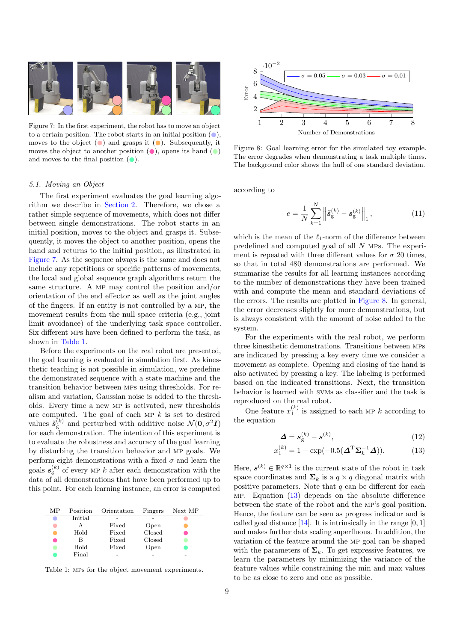<span id="page-8-1"></span>

Figure 7: In the first experiment, the robot has to move an object to a certain position. The robot starts in an initial position  $( \bullet )$ , moves to the object  $\left( \bullet \right)$  and grasps it  $\left( \bullet \right)$ . Subsequently, it moves the object to another position  $\left( \bullet \right)$ , opens its hand  $\left( \bullet \right)$ and moves to the final position  $( \bullet )$ .

#### <span id="page-8-0"></span>*5.1. Moving an Object*

The first experiment evaluates the goal learning algorithm we describe in [Section 2.](#page-2-1) Therefore, we chose a rather simple sequence of movements, which does not differ between single demonstrations. The robot starts in an initial position, moves to the object and grasps it. Subsequently, it moves the object to another position, opens the hand and returns to the initial position, as illustrated in [Figure 7.](#page-8-1) As the sequence always is the same and does not include any repetitions or specific patterns of movements, the local and global sequence graph algorithms return the same structure. A MP may control the position and/or orientation of the end effector as well as the joint angles of the fingers. If an entity is not controlled by a mp, the movement results from the null space criteria (e.g., joint limit avoidance) of the underlying task space controller. Six different mps have been defined to perform the task, as shown in [Table 1.](#page-8-2)

Before the experiments on the real robot are presented, the goal learning is evaluated in simulation first. As kinesthetic teaching is not possible in simulation, we predefine the demonstrated sequence with a state machine and the transition behavior between mps using thresholds. For realism and variation, Gaussian noise is added to the thresholds. Every time a new mp is activated, new thresholds are computed. The goal of each MP  $k$  is set to desired values  $\tilde{s}_{\rm g}^{(k)}$  and perturbed with additive noise  $\mathcal{N}(\mathbf{0}, \sigma^2 \mathbf{I})$ for each demonstration. The intention of this experiment is to evaluate the robustness and accuracy of the goal learning by disturbing the transition behavior and mp goals. We perform eight demonstrations with a fixed  $\sigma$  and learn the goals  $s_{\rm g}^{(k)}$  of every MP k after each demonstration with the data of all demonstrations that have been performed up to this point. For each learning instance, an error is computed

<span id="page-8-2"></span>

| MР | Position | Orientation | Fingers | Next MP |
|----|----------|-------------|---------|---------|
|    | Initial  |             |         |         |
|    |          | Fixed       | Open    |         |
|    | Hold     | Fixed       | Closed  |         |
|    | В        | Fixed       | Closed  |         |
|    | Hold     | Fixed       | Open    |         |
|    | Final    |             |         |         |

Table 1: mps for the object movement experiments.

<span id="page-8-3"></span>

Figure 8: Goal learning error for the simulated toy example. The error degrades when demonstrating a task multiple times. The background color shows the hull of one standard deviation.

according to

$$
e = \frac{1}{N} \sum_{k=1}^{N} \left\| \tilde{s}_{g}^{(k)} - s_{g}^{(k)} \right\|_{1}, \qquad (11)
$$

which is the mean of the  $\ell_1$ -norm of the difference between predefined and computed goal of all N mps. The experiment is repeated with three different values for  $\sigma$  20 times, so that in total 480 demonstrations are performed. We summarize the results for all learning instances according to the number of demonstrations they have been trained with and compute the mean and standard deviations of the errors. The results are plotted in [Figure 8.](#page-8-3) In general, the error decreases slightly for more demonstrations, but is always consistent with the amount of noise added to the system.

For the experiments with the real robot, we perform three kinesthetic demonstrations. Transitions between mps are indicated by pressing a key every time we consider a movement as complete. Opening and closing of the hand is also activated by pressing a key. The labeling is performed based on the indicated transitions. Next, the transition behavior is learned with svms as classifier and the task is reproduced on the real robot.

One feature  $x_1^{(k)}$  is assigned to each MP k according to the equation

<span id="page-8-4"></span>
$$
\mathbf{\Delta} = \mathbf{s}_{\mathrm{g}}^{(k)} - \mathbf{s}^{(k)},\tag{12}
$$

$$
x_1^{(k)} = 1 - \exp(-0.5(\mathbf{\Delta}^{\mathrm{T}} \mathbf{\Sigma}_k^{-1} \mathbf{\Delta})). \tag{13}
$$

Here,  $s^{(k)} \in \mathbb{R}^{q \times 1}$  is the current state of the robot in task space coordinates and  $\Sigma_k$  is a  $q \times q$  diagonal matrix with positive parameters. Note that  $q$  can be different for each MP. Equation  $(13)$  depends on the absolute difference between the state of the robot and the mp's goal position. Hence, the feature can be seen as progress indicator and is called goal distance  $[14]$ . It is intrinsically in the range  $[0, 1]$ and makes further data scaling superfluous. In addition, the variation of the feature around the mp goal can be shaped with the parameters of  $\Sigma_k$ . To get expressive features, we learn the parameters by minimizing the variance of the feature values while constraining the min and max values to be as close to zero and one as possible.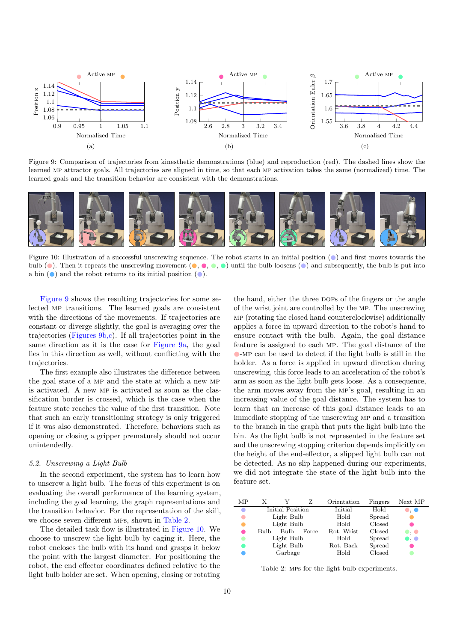<span id="page-9-1"></span>

Figure 9: Comparison of trajectories from kinesthetic demonstrations (blue) and reproduction (red). The dashed lines show the learned mp attractor goals. All trajectories are aligned in time, so that each mp activation takes the same (normalized) time. The learned goals and the transition behavior are consistent with the demonstrations.

<span id="page-9-3"></span>

Figure 10: Illustration of a successful unscrewing sequence. The robot starts in an initial position ( $\bullet$ ) and first moves towards the bulb ( $\bullet$ ). Then it repeats the unscrewing movement ( $\bullet$ ,  $\bullet$ ,  $\bullet$ ) until the bulb loosens ( $\bullet$ ) and subsequently, the bulb is put into a bin  $(\bullet)$  and the robot returns to its initial position  $(\bullet)$ .

[Figure 9](#page-9-1) shows the resulting trajectories for some selected mp transitions. The learned goals are consistent with the directions of the movements. If trajectories are constant or diverge slightly, the goal is averaging over the trajectories [\(Figures 9b,c\)](#page-9-1). If all trajectories point in the same direction as it is the case for [Figure 9a,](#page-9-1) the goal lies in this direction as well, without conflicting with the trajectories.

The first example also illustrates the difference between the goal state of a mp and the state at which a new mp is activated. A new mp is activated as soon as the classification border is crossed, which is the case when the feature state reaches the value of the first transition. Note that such an early transitioning strategy is only triggered if it was also demonstrated. Therefore, behaviors such as opening or closing a gripper prematurely should not occur unintendedly.

#### <span id="page-9-0"></span>*5.2. Unscrewing a Light Bulb*

In the second experiment, the system has to learn how to unscrew a light bulb. The focus of this experiment is on evaluating the overall performance of the learning system, including the goal learning, the graph representations and the transition behavior. For the representation of the skill, we choose seven different mps, shown in [Table 2.](#page-9-2)

The detailed task flow is illustrated in [Figure 10.](#page-9-3) We choose to unscrew the light bulb by caging it. Here, the robot encloses the bulb with its hand and grasps it below the point with the largest diameter. For positioning the robot, the end effector coordinates defined relative to the light bulb holder are set. When opening, closing or rotating

the hand, either the three DOFs of the fingers or the angle of the wrist joint are controlled by the mp. The unscrewing mp (rotating the closed hand counterclockwise) additionally applies a force in upward direction to the robot's hand to ensure contact with the bulb. Again, the goal distance feature is assigned to each mp. The goal distance of the -mp can be used to detect if the light bulb is still in the holder. As a force is applied in upward direction during unscrewing, this force leads to an acceleration of the robot's arm as soon as the light bulb gets loose. As a consequence, the arm moves away from the mp's goal, resulting in an increasing value of the goal distance. The system has to learn that an increase of this goal distance leads to an immediate stopping of the unscrewing mp and a transition to the branch in the graph that puts the light bulb into the bin. As the light bulb is not represented in the feature set and the unscrewing stopping criterion depends implicitly on the height of the end-effector, a slipped light bulb can not be detected. As no slip happened during our experiments, we did not integrate the state of the light bulb into the feature set.

<span id="page-9-2"></span>

| MP            | X                |      |           | Orientation | Fingers               | Next MP               |
|---------------|------------------|------|-----------|-------------|-----------------------|-----------------------|
|               | Initial Position |      |           | Initial     | Hold                  | $\bullet$ . $\bullet$ |
| 0             | Light Bulb       |      |           | Hold        | Spread                |                       |
| $\mathcal{L}$ | Light Bulb       |      |           | Hold        | Closed                |                       |
|               | Bulb             | Bulb | Force     | Rot. Wrist  | Closed                | $\bullet$ . $\bullet$ |
|               | Light Bulb       |      | Hold      | Spread      | $\bullet$ . $\bullet$ |                       |
|               | Light Bulb       |      | Rot. Back | Spread      |                       |                       |
|               | Garbage          |      |           | Hold        | Closed                |                       |

Table 2: mps for the light bulb experiments.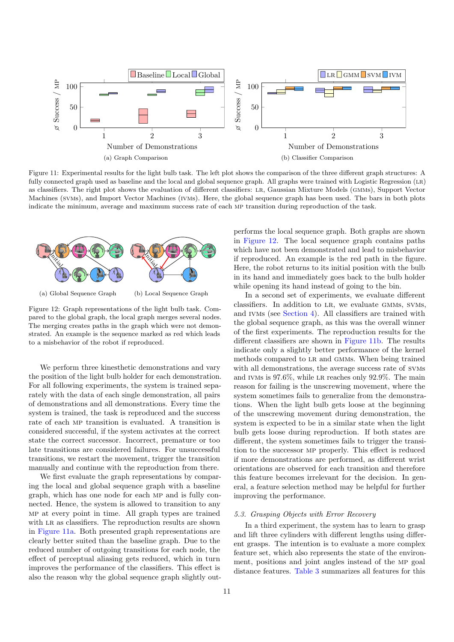<span id="page-10-1"></span>

Figure 11: Experimental results for the light bulb task. The left plot shows the comparison of the three different graph structures: A fully connected graph used as baseline and the local and global sequence graph. All graphs were trained with Logistic Regression (LR) as classifiers. The right plot shows the evaluation of different classifiers: lr, Gaussian Mixture Models (gmms), Support Vector Machines (svms), and Import Vector Machines (ivms). Here, the global sequence graph has been used. The bars in both plots indicate the minimum, average and maximum success rate of each mp transition during reproduction of the task.

<span id="page-10-2"></span>

Figure 12: Graph representations of the light bulb task. Compared to the global graph, the local graph merges several nodes. The merging creates paths in the graph which were not demonstrated. An example is the sequence marked as red which leads to a misbehavior of the robot if reproduced.

We perform three kinesthetic demonstrations and vary the position of the light bulb holder for each demonstration. For all following experiments, the system is trained separately with the data of each single demonstration, all pairs of demonstrations and all demonstrations. Every time the system is trained, the task is reproduced and the success rate of each mp transition is evaluated. A transition is considered successful, if the system activates at the correct state the correct successor. Incorrect, premature or too late transitions are considered failures. For unsuccessful transitions, we restart the movement, trigger the transition manually and continue with the reproduction from there.

We first evaluate the graph representations by comparing the local and global sequence graph with a baseline graph, which has one node for each mp and is fully connected. Hence, the system is allowed to transition to any mp at every point in time. All graph types are trained with LR as classifiers. The reproduction results are shown in [Figure 11a.](#page-10-1) Both presented graph representations are clearly better suited than the baseline graph. Due to the reduced number of outgoing transitions for each node, the effect of perceptual aliasing gets reduced, which in turn improves the performance of the classifiers. This effect is also the reason why the global sequence graph slightly outperforms the local sequence graph. Both graphs are shown in [Figure 12.](#page-10-2) The local sequence graph contains paths which have not been demonstrated and lead to misbehavior if reproduced. An example is the red path in the figure. Here, the robot returns to its initial position with the bulb in its hand and immediately goes back to the bulb holder while opening its hand instead of going to the bin.

In a second set of experiments, we evaluate different classifiers. In addition to LR, we evaluate GMMs, SVMs, and ivms (see [Section 4\)](#page-7-0). All classifiers are trained with the global sequence graph, as this was the overall winner of the first experiments. The reproduction results for the different classifiers are shown in [Figure 11b.](#page-10-1) The results indicate only a slightly better performance of the kernel methods compared to LR and GMMs. When being trained with all demonstrations, the average success rate of svms and ivms is 97.6%, while lr reaches only 92.9%. The main reason for failing is the unscrewing movement, where the system sometimes fails to generalize from the demonstrations. When the light bulb gets loose at the beginning of the unscrewing movement during demonstration, the system is expected to be in a similar state when the light bulb gets loose during reproduction. If both states are different, the system sometimes fails to trigger the transition to the successor mp properly. This effect is reduced if more demonstrations are performed, as different wrist orientations are observed for each transition and therefore this feature becomes irrelevant for the decision. In general, a feature selection method may be helpful for further improving the performance.

#### <span id="page-10-0"></span>*5.3. Grasping Objects with Error Recovery*

In a third experiment, the system has to learn to grasp and lift three cylinders with different lengths using different grasps. The intention is to evaluate a more complex feature set, which also represents the state of the environment, positions and joint angles instead of the mp goal distance features. [Table 3](#page-11-0) summarizes all features for this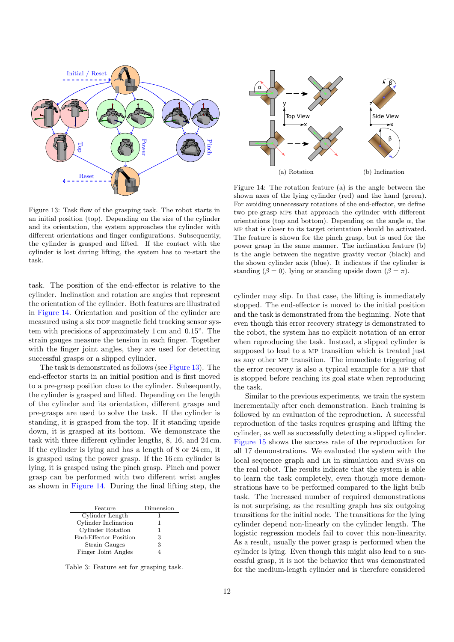<span id="page-11-2"></span>

Figure 13: Task flow of the grasping task. The robot starts in an initial position (top). Depending on the size of the cylinder and its orientation, the system approaches the cylinder with different orientations and finger configurations. Subsequently, the cylinder is grasped and lifted. If the contact with the cylinder is lost during lifting, the system has to re-start the task.

task. The position of the end-effector is relative to the cylinder. Inclination and rotation are angles that represent the orientation of the cylinder. Both features are illustrated in [Figure 14.](#page-11-1) Orientation and position of the cylinder are measured using a six DOF magnetic field tracking sensor system with precisions of approximately 1 cm and 0.15◦ . The strain gauges measure the tension in each finger. Together with the finger joint angles, they are used for detecting successful grasps or a slipped cylinder.

The task is demonstrated as follows (see [Figure 13\)](#page-11-2). The end-effector starts in an initial position and is first moved to a pre-grasp position close to the cylinder. Subsequently, the cylinder is grasped and lifted. Depending on the length of the cylinder and its orientation, different grasps and pre-grasps are used to solve the task. If the cylinder is standing, it is grasped from the top. If it standing upside down, it is grasped at its bottom. We demonstrate the task with three different cylinder lengths, 8, 16, and 24 cm. If the cylinder is lying and has a length of 8 or 24 cm, it is grasped using the power grasp. If the 16 cm cylinder is lying, it is grasped using the pinch grasp. Pinch and power grasp can be performed with two different wrist angles as shown in [Figure 14.](#page-11-1) During the final lifting step, the

<span id="page-11-0"></span>

| Feature               | Dimension |
|-----------------------|-----------|
| Cylinder Length       |           |
| Cylinder Inclination  |           |
| Cylinder Rotation     | 1         |
| End-Effector Position | З         |
| Strain Gauges         | 3         |
| Finger Joint Angles   |           |

Table 3: Feature set for grasping task.

<span id="page-11-1"></span>

Figure 14: The rotation feature (a) is the angle between the shown axes of the lying cylinder (red) and the hand (green). For avoiding unnecessary rotations of the end-effector, we define two pre-grasp mps that approach the cylinder with different orientations (top and bottom). Depending on the angle  $\alpha$ , the mp that is closer to its target orientation should be activated. The feature is shown for the pinch grasp, but is used for the power grasp in the same manner. The inclination feature (b) is the angle between the negative gravity vector (black) and the shown cylinder axis (blue). It indicates if the cylinder is standing ( $\beta = 0$ ), lying or standing upside down ( $\beta = \pi$ ).

cylinder may slip. In that case, the lifting is immediately stopped. The end-effector is moved to the initial position and the task is demonstrated from the beginning. Note that even though this error recovery strategy is demonstrated to the robot, the system has no explicit notation of an error when reproducing the task. Instead, a slipped cylinder is supposed to lead to a mp transition which is treated just as any other mp transition. The immediate triggering of the error recovery is also a typical example for a mp that is stopped before reaching its goal state when reproducing the task.

Similar to the previous experiments, we train the system incrementally after each demonstration. Each training is followed by an evaluation of the reproduction. A successful reproduction of the tasks requires grasping and lifting the cylinder, as well as successfully detecting a slipped cylinder. [Figure 15](#page-12-24) shows the success rate of the reproduction for all 17 demonstrations. We evaluated the system with the local sequence graph and LR in simulation and SVMS on the real robot. The results indicate that the system is able to learn the task completely, even though more demonstrations have to be performed compared to the light bulb task. The increased number of required demonstrations is not surprising, as the resulting graph has six outgoing transitions for the initial node. The transitions for the lying cylinder depend non-linearly on the cylinder length. The logistic regression models fail to cover this non-linearity. As a result, usually the power grasp is performed when the cylinder is lying. Even though this might also lead to a successful grasp, it is not the behavior that was demonstrated for the medium-length cylinder and is therefore considered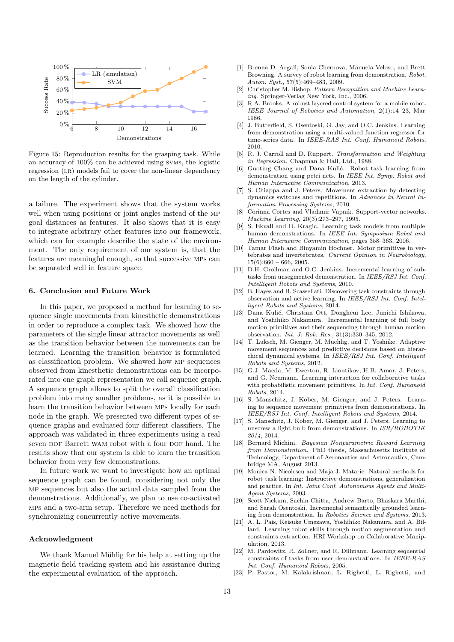<span id="page-12-24"></span>

Figure 15: Reproduction results for the grasping task. While an accuracy of 100% can be achieved using svms, the logistic regression (LR) models fail to cover the non-linear dependency on the length of the cylinder.

a failure. The experiment shows that the system works well when using positions or joint angles instead of the mp goal distances as features. It also shows that it is easy to integrate arbitrary other features into our framework, which can for example describe the state of the environment. The only requirement of our system is, that the features are meaningful enough, so that successive mps can be separated well in feature space.

# <span id="page-12-18"></span>6. Conclusion and Future Work

In this paper, we proposed a method for learning to sequence single movements from kinesthetic demonstrations in order to reproduce a complex task. We showed how the parameters of the single linear attractor movements as well as the transition behavior between the movements can be learned. Learning the transition behavior is formulated as classification problem. We showed how mp sequences observed from kinesthetic demonstrations can be incorporated into one graph representation we call sequence graph. A sequence graph allows to split the overall classification problem into many smaller problems, as it is possible to learn the transition behavior between mps locally for each node in the graph. We presented two different types of sequence graphs and evaluated four different classifiers. The approach was validated in three experiments using a real seven DOF Barrett WAM robot with a four DOF hand. The results show that our system is able to learn the transition behavior from very few demonstrations.

In future work we want to investigate how an optimal sequence graph can be found, considering not only the mp sequences but also the actual data sampled from the demonstrations. Additionally, we plan to use co-activated mps and a two-arm setup. Therefore we need methods for synchronizing concurrently active movements.

# Acknowledgment

We thank Manuel Mühlig for his help at setting up the magnetic field tracking system and his assistance during the experimental evaluation of the approach.

- <span id="page-12-0"></span>[1] Brenna D. Argall, Sonia Chernova, Manuela Veloso, and Brett Browning. A survey of robot learning from demonstration. Robot. Auton. Syst., 57(5):469–483, 2009.
- <span id="page-12-23"></span>[2] Christopher M. Bishop. Pattern Recognition and Machine Learning. Springer-Verlag New York, Inc., 2006.
- <span id="page-12-2"></span>[3] R.A. Brooks. A robust layered control system for a mobile robot. IEEE Journal of Robotics and Automation, 2(1):14–23, Mar 1986.
- <span id="page-12-16"></span>[4] J. Butterfield, S. Osentoski, G. Jay, and O.C. Jenkins. Learning from demonstration using a multi-valued function regressor for time-series data. In IEEE-RAS Int. Conf. Humanoid Robots, 2010.
- <span id="page-12-21"></span>[5] R. J. Carroll and D. Ruppert. Transformation and Weighting in Regression. Chapman & Hall, Ltd., 1988.
- <span id="page-12-3"></span>[6] Guoting Chang and Dana Kulić. Robot task learning from demonstration using petri nets. In IEEE Int. Symp. Robot and Human Interactive Communication, 2013.
- <span id="page-12-6"></span>[7] S. Chiappa and J. Peters. Movement extraction by detecting dynamics switches and repetitions. In Advances in Neural Information Processing Systems, 2010.
- <span id="page-12-22"></span>[8] Corinna Cortes and Vladimir Vapnik. Support-vector networks. Machine Learning, 20(3):273–297, 1995.
- <span id="page-12-11"></span>[9] S. Ekvall and D. Kragic. Learning task models from multiple human demonstrations. In IEEE Int. Symposium Robot and Human Interactive Communication, pages 358–363, 2006.
- <span id="page-12-1"></span>[10] Tamar Flash and Binyamin Hochner. Motor primitives in vertebrates and invertebrates. Current Opinion in Neurobiology,  $15(6):660 - 666, 2005.$
- <span id="page-12-10"></span>[11] D.H. Grollman and O.C. Jenkins. Incremental learning of subtasks from unsegmented demonstration. In IEEE/RSJ Int. Conf. Intelligent Robots and Systems, 2010.
- <span id="page-12-14"></span>[12] B. Hayes and B. Scassellati. Discovering task constraints through observation and active learning. In IEEE/RSJ Int. Conf. Intelligent Robots and Systems, 2014.
- <span id="page-12-8"></span>[13] Dana Kulić, Christian Ott, Dongheui Lee, Junichi Ishikawa, and Yoshihiko Nakamura. Incremental learning of full body motion primitives and their sequencing through human motion observation. Int. J. Rob. Res., 31(3):330–345, 2012.
- <span id="page-12-4"></span>[14] T. Luksch, M. Gienger, M. Muehlig, and T. Yoshiike. Adaptive movement sequences and predictive decisions based on hierarchical dynamical systems. In IEEE/RSJ Int. Conf. Intelligent Robots and Systems, 2012.
- <span id="page-12-9"></span>[15] G.J. Maeda, M. Ewerton, R. Lioutikov, H.B. Amor, J. Peters, and G. Neumann. Learning interaction for collaborative tasks with probabilistic movement primitives. In Int. Conf. Humanoid Robots, 2014.
- <span id="page-12-19"></span>[16] S. Manschitz, J. Kober, M. Gienger, and J. Peters. Learning to sequence movement primitives from demonstrations. In IEEE/RSJ Int. Conf. Intelligent Robots and Systems, 2014.
- <span id="page-12-20"></span>[17] S. Manschitz, J. Kober, M. Gienger, and J. Peters. Learning to unscrew a light bulb from demonstrations. In ISR/ROBOTIK 2014, 2014.
- <span id="page-12-7"></span>[18] Bernard Michini. Bayesian Nonparametric Reward Learning from Demonstration. PhD thesis, Massachusetts Institute of Technology, Department of Aeronautics and Astronautics, Cambridge MA, August 2013.
- <span id="page-12-12"></span>[19] Monica N. Nicolescu and Maja J. Mataric. Natural methods for robot task learning: Instructive demonstrations, generalization and practice. In Int. Joint Conf. Autonomous Agents and Multi-Agent Systems, 2003.
- <span id="page-12-17"></span>[20] Scott Niekum, Sachin Chitta, Andrew Barto, Bhaskara Marthi, and Sarah Osentoski. Incremental semantically grounded learning from demonstration. In Robotics Science and Systems, 2013.
- <span id="page-12-5"></span>[21] A. L. Pais, Keisuke Umezawa, Yoshihiko Nakamura, and A. Billard. Learning robot skills through motion segmentation and constraints extraction. HRI Workshop on Collaborative Manipulation, 2013.
- <span id="page-12-13"></span>[22] M. Pardowitz, R. Zollner, and R. Dillmann. Learning sequential constraints of tasks from user demonstrations. In IEEE-RAS Int. Conf. Humanoid Robots, 2005.
- <span id="page-12-15"></span>[23] P. Pastor, M. Kalakrishnan, L. Righetti, L. Righetti, and